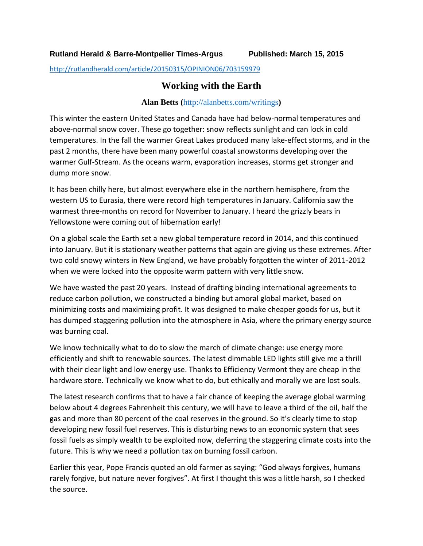<http://rutlandherald.com/article/20150315/OPINION06/703159979>

## **Working with the Earth**

## **Alan Betts (**<http://alanbetts.com/writings>**)**

This winter the eastern United States and Canada have had below-normal temperatures and above-normal snow cover. These go together: snow reflects sunlight and can lock in cold temperatures. In the fall the warmer Great Lakes produced many lake-effect storms, and in the past 2 months, there have been many powerful coastal snowstorms developing over the warmer Gulf-Stream. As the oceans warm, evaporation increases, storms get stronger and dump more snow.

It has been chilly here, but almost everywhere else in the northern hemisphere, from the western US to Eurasia, there were record high temperatures in January. California saw the warmest three-months on record for November to January. I heard the grizzly bears in Yellowstone were coming out of hibernation early!

On a global scale the Earth set a new global temperature record in 2014, and this continued into January. But it is stationary weather patterns that again are giving us these extremes. After two cold snowy winters in New England, we have probably forgotten the winter of 2011-2012 when we were locked into the opposite warm pattern with very little snow.

We have wasted the past 20 years. Instead of drafting binding international agreements to reduce carbon pollution, we constructed a binding but amoral global market, based on minimizing costs and maximizing profit. It was designed to make cheaper goods for us, but it has dumped staggering pollution into the atmosphere in Asia, where the primary energy source was burning coal.

We know technically what to do to slow the march of climate change: use energy more efficiently and shift to renewable sources. The latest dimmable LED lights still give me a thrill with their clear light and low energy use. Thanks to Efficiency Vermont they are cheap in the hardware store. Technically we know what to do, but ethically and morally we are lost souls.

The latest research confirms that to have a fair chance of keeping the average global warming below about 4 degrees Fahrenheit this century, we will have to leave a third of the oil, half the gas and more than 80 percent of the coal reserves in the ground. So it's clearly time to stop developing new fossil fuel reserves. This is disturbing news to an economic system that sees fossil fuels as simply wealth to be exploited now, deferring the staggering climate costs into the future. This is why we need a pollution tax on burning fossil carbon.

Earlier this year, Pope Francis quoted an old farmer as saying: "God always forgives, humans rarely forgive, but nature never forgives". At first I thought this was a little harsh, so I checked the source.